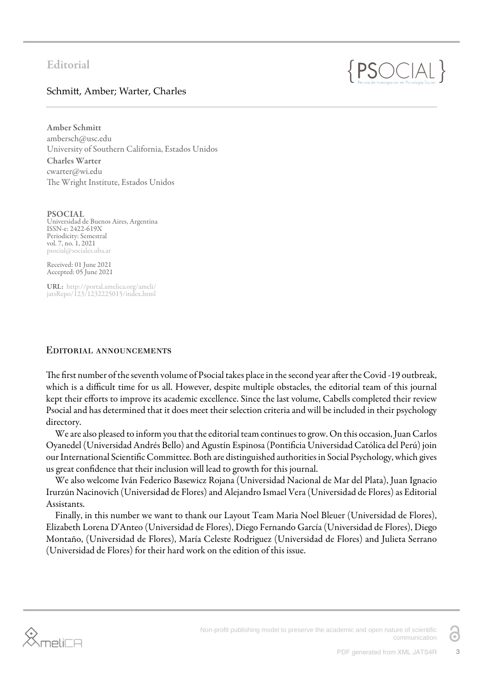# $\{PSOC|AL\}$

## Schmitt, Amber; Warter, Charles

Amber Schmitt ambersch@usc.edu University of Southern California, Estados Unidos Charles Warter cwarter@wi.edu The Wright Institute, Estados Unidos

PSOCIAL Universidad de Buenos Aires, Argentina ISSN-e: 2422-619X Periodicity: Semestral vol. 7, no. 1, 2021 psocial@sociales.uba.ar

Received: 01 June 2021 Accepted: 05 June 2021

URL: [http://portal.amelica.org/ameli/](http://portal.amelica.org/ameli/jatsRepo/123/1232225015/index.html) [jatsRepo/123/1232225015/index.html](http://portal.amelica.org/ameli/jatsRepo/123/1232225015/index.html)

### Editorial announcements

The first number of the seventh volume of Psocial takes place in the second year after the Covid -19 outbreak, which is a difficult time for us all. However, despite multiple obstacles, the editorial team of this journal kept their efforts to improve its academic excellence. Since the last volume, Cabells completed their review Psocial and has determined that it does meet their selection criteria and will be included in their psychology directory.

We are also pleased to inform you that the editorial team continues to grow. On this occasion, Juan Carlos Oyanedel (Universidad Andrés Bello) and Agustín Espinosa (Pontificia Universidad Católica del Perú) join our International Scientific Committee. Both are distinguished authorities in Social Psychology, which gives us great confidence that their inclusion will lead to growth for this journal.

We also welcome Iván Federico Basewicz Rojana (Universidad Nacional de Mar del Plata), Juan Ignacio Irurzún Nacinovich (Universidad de Flores) and Alejandro Ismael Vera (Universidad de Flores) as Editorial Assistants.

Finally, in this number we want to thank our Layout Team Maria Noel Bleuer (Universidad de Flores), Elizabeth Lorena D'Anteo (Universidad de Flores), Diego Fernando García (Universidad de Flores), Diego Montaño, (Universidad de Flores), María Celeste Rodriguez (Universidad de Flores) and Julieta Serrano (Universidad de Flores) for their hard work on the edition of this issue.



G